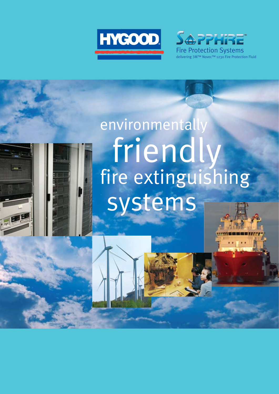



# environmentally friendly fire extinguishing systems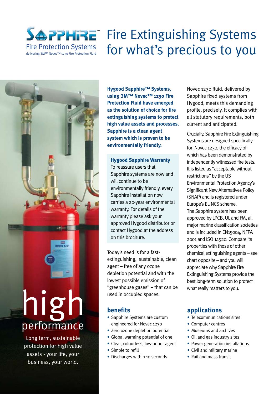

### Fire Extinguishing Systems Fire Protection Systems for what's precious to you

high performance

Long term, sustainable protection for high value assets - your life, your business, your world.

**Hygood Sapphire™ Systems, using** 3**M™ Novec™ 1230 Fire Protection Fluid have emerged as the solution of choice for fire extinguishing systems to protect high value assets and processes. Sapphire is a clean agent system which is proven to be environmentally friendly.**

**Hygood Sapphire Warranty** To reassure users that Sapphire systems are now and will continue to be environmentally friendly, every Sapphire installation now carries a 20-year environmental warranty. For details of the warranty please ask your approved Hygood distributor or contact Hygood at the address on this brochure.

Today's need is for a fastextinguishing, sustainable, clean agent – free of any ozone depletion potential and with the lowest possible emission of "greenhouse gases" – that can be used in occupied spaces.

### **benefits**

- Sapphire Systems are custom engineered for Novec 1230
- Zero ozone depletion potential
- Global warming potential of one
- Clear, colourless, low-odour agent
- Simple to refill
- Discharges within 10 seconds

Novec 1230 fluid, delivered by Sapphire fixed systems from Hygood, meets this demanding profile, precisely. It complies with all statutory requirements, both current and anticipated.

Crucially, Sapphire Fire Extinguishing Systems are designed specifically for Novec 1230, the efficacy of which has been demonstrated by independently witnessed fire tests. It is listed as "acceptable without restrictions" by the US Environmental Protection Agency's Significant New Alternatives Policy (SNAP) and is registered under Europe's ELINCS scheme. The Sapphire system has been approved by LPCB, UL and FM, all major marine classification societies and is included in EN15004, NFPA 2001 and ISO 14520. Compare its properties with those of other chemical extinguishing agents – see chart opposite – and you will appreciate why Sapphire Fire Extinguishing Systems provide the best long-term solution to protect what really matters to you.

### **applications**

- Telecommunications sites
- Computer centres
- Museums and archives
- Oil and gas industry sites
- Power generation installations
- Civil and military marine
- Rail and mass transit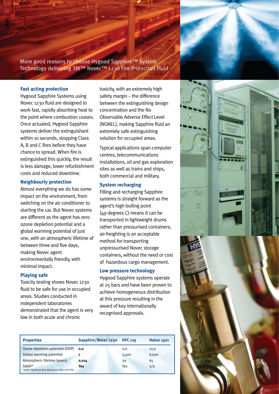More good reasons to choose Hygood Sapphire™ System Technology delivering 3M™ Novec™ 1230 Fire Protection Fluid

#### **Fast acting protection**

Hygood Sapphire Systems using Novec 1230 fluid are designed to work fast, rapidly absorbing heat to the point where combustion ceases. Once actuated, Hygood Sapphire systems deliver the extinguishant within 10 seconds, stopping Class A, B and C fires before they have chance to spread. When fire is extinguished this quickly, the result is less damage, lower refurbishment costs and reduced downtime.

#### **Neighbourly protection**

Almost everything we do has some impact on the environment, from switching on the air conditioner to starting the car. But Novec systems are different as the agent has zero ozone depletion potential and a global warming potential of just one, with an atmospheric lifetime of between three and five days, making Novec agent environmentally friendly, with minimal impact.

#### **Playing safe**

Toxicity testing shows Novec 1230 fluid to be safe for use in occupied areas. Studies conducted in independent laboratories demonstrated that the agent is very low in both acute and chronic

toxicity, with an extremely high safety margin – the difference between the extinguishing design concentration and the No Observable Adverse Effect Level (NOAEL), making Sapphire fluid an extremely safe extinguishing solution for occupied areas.

Typical applications span computer centres, telecommunications installations, oil and gas exploration sites as well as trains and ships, both commercial and military.

#### **System recharging**

Filling and recharging Sapphire systems is straight forward as the agent's high boiling point (49 degrees C) means it can be transported in lightweight drums rather than pressurised containers; air-freighting is an acceptable method for transporting unpressurised Novec storage containers, without the need or cost of hazardous cargo management.

#### **Low pressure technology**

Hygood Sapphire systems operate at 25 bars and have been proven to achieve homogeneous distribution at this pressure resulting in the award of key internationally recognised approvals.

| <b>Properties</b>                                               | Sapphire/Novec 1230 | <b>HFC 125</b> | <b>Halon 1301</b> |
|-----------------------------------------------------------------|---------------------|----------------|-------------------|
| Ozone depletion potential (ODP)                                 | 0.0                 | 0,0            | 12,0              |
| Global warming potential                                        | 1                   | 3,400          | 6,900             |
| Atmospheric lifetime (years)                                    | 0,014               | 29             | 65                |
| $SNAP*$<br>*SNAP - Significant New Alternatives Policy (US EPA) | Yes                 | Yes            | n/a               |